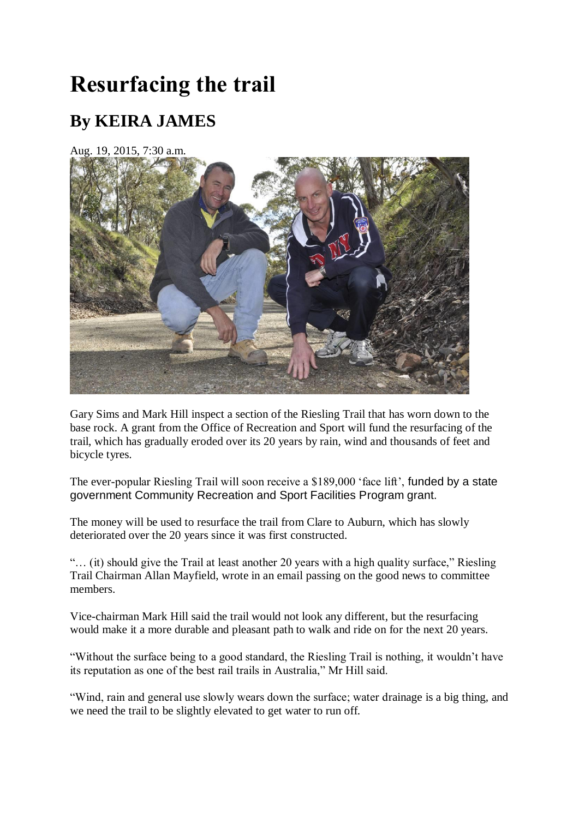## **Resurfacing the trail**

## **By KEIRA JAMES**

Aug. 19, 2015, 7:30 a.m.



Gary Sims and Mark Hill inspect a section of the Riesling Trail that has worn down to the base rock. A grant from the Office of Recreation and Sport will fund the resurfacing of the trail, which has gradually eroded over its 20 years by rain, wind and thousands of feet and bicycle tyres.

The ever-popular Riesling Trail will soon receive a \$189,000 'face lift', funded by a state government Community Recreation and Sport Facilities Program grant.

The money will be used to resurface the trail from Clare to Auburn, which has slowly deteriorated over the 20 years since it was first constructed.

"… (it) should give the Trail at least another 20 years with a high quality surface," Riesling Trail Chairman Allan Mayfield, wrote in an email passing on the good news to committee members.

Vice-chairman Mark Hill said the trail would not look any different, but the resurfacing would make it a more durable and pleasant path to walk and ride on for the next 20 years.

"Without the surface being to a good standard, the Riesling Trail is nothing, it wouldn"t have its reputation as one of the best rail trails in Australia," Mr Hill said.

"Wind, rain and general use slowly wears down the surface; water drainage is a big thing, and we need the trail to be slightly elevated to get water to run off.